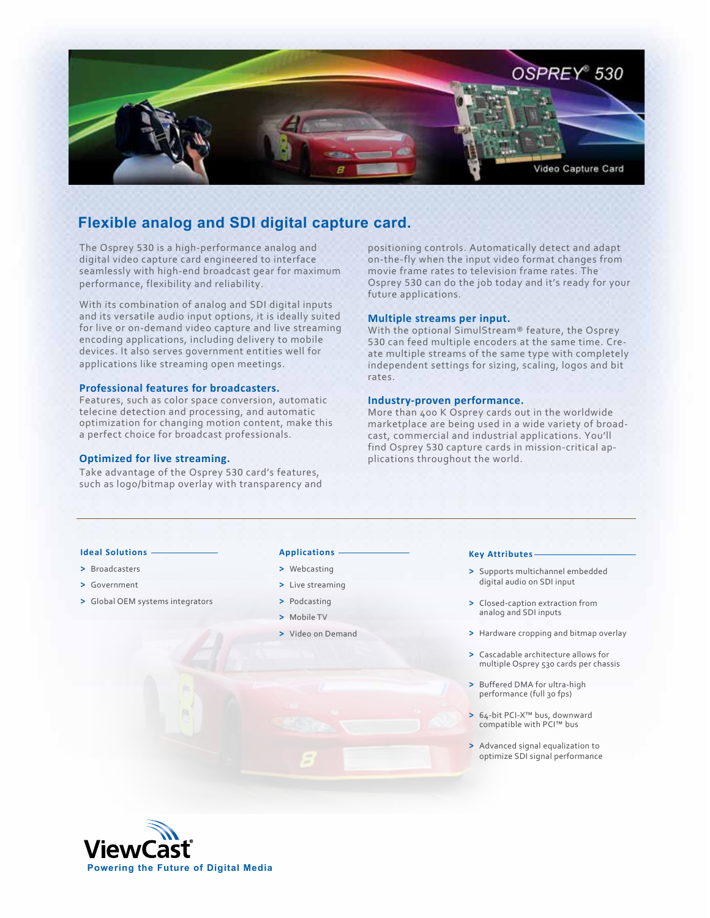

# **Flexible analog and SDI digital capture card.**

The Osprey 530 is a high-performance analog and digital video capture card engineered to interface seamlessly with high-end broadcast gear for maximum performance, flexibility and reliability.

With its combination of analog and SDI digital inputs and its versatile audio input options, it is ideally suited for live or on-demand video capture and live streaming encoding applications, including delivery to mobile devices. It also serves government entities well for applications like streaming open meetings.

## **Professional features for broadcasters.**

Features, such as color space conversion, automatic telecine detection and processing, and automatic optimization for changing motion content, make this a perfect choice for broadcast professionals.

## **Optimized for live streaming.**

Take advantage of the Osprey 530 card's features, such as logo/bitmap overlay with transparency and positioning controls. Automatically detect and adapt on-the-fly when the input video format changes from movie frame rates to television frame rates. The Osprey 530 can do the job today and it's ready for your future applications.

## **Multiple streams per input.**

With the optional SimulStream® feature, the Osprey 530 can feed multiple encoders at the same time. Create multiple streams of the same type with completely independent settings for sizing, scaling, logos and bit rates.

## **Industry-proven performance.**

More than 400 K Osprey cards out in the worldwide marketplace are being used in a wide variety of broadcast, commercial and industrial applications. You'll find Osprey 530 capture cards in mission-critical applications throughout the world.

# **Ideal Solutions**

- **>** Broadcasters
- **>** Government
- **>** Global OEM systems integrators

## **Applications**

- **>** Webcasting
- **>** Live streaming
- **>** Podcasting
- **>** Mobile TV
- **>** Video on Demand

## **Key Attributes**

- **>** Supports multichannel embedded digital audio on SDI input
- **>** Closed-caption extraction from analog and SDI inputs
- **>** Hardware cropping and bitmap overlay
- **>** Cascadable architecture allows for multiple Osprey 530 cards per chassis
- **>** Buffered DMA for ultra-high performance (full 30 fps)
- **>** 64-bit PCI-X™ bus, downward compatible with PCI™ bus
- **>** Advanced signal equalization to optimize SDI signal performance